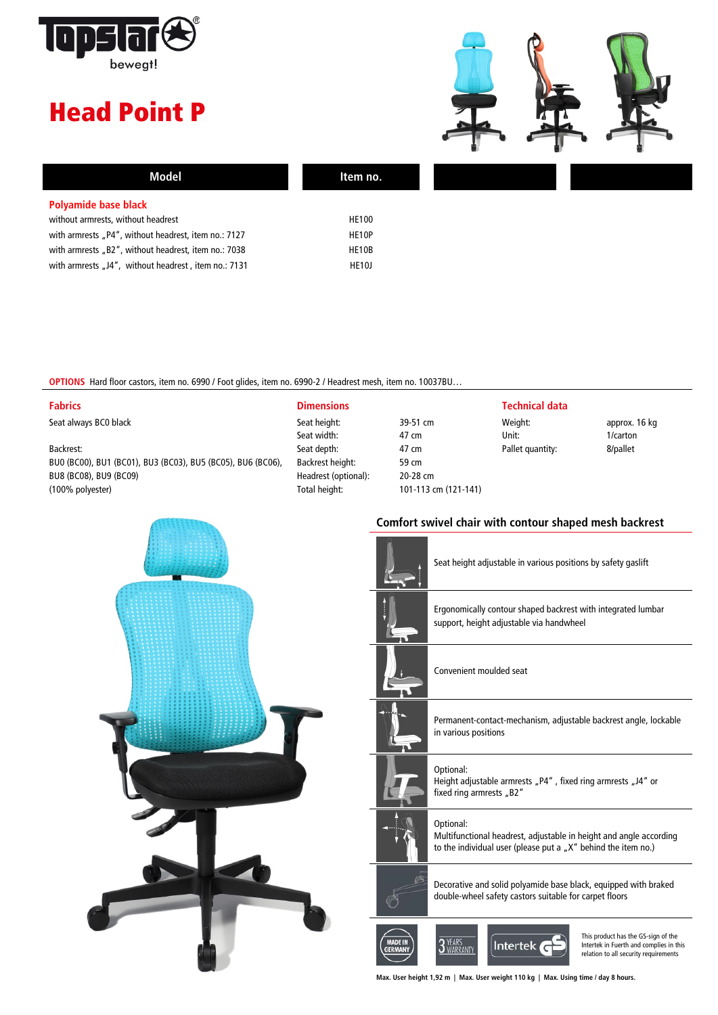

## Head Point P



| Model                                                | Item no.           |  |
|------------------------------------------------------|--------------------|--|
| Polyamide base black                                 |                    |  |
| without armrests, without headrest                   | <b>HE100</b>       |  |
| with armrests "P4", without headrest, item no.: 7127 | HE10P              |  |
| with armrests "B2", without headrest, item no.: 7038 | HE10B              |  |
| with armrests "J4", without headrest, item no.: 7131 | HE <sub>10</sub> J |  |

**OPTIONS** Hard floor castors, item no. 6990 / Foot glides, item no. 6990-2 / Headrest mesh, item no. 10037BU…

| <b>Fabrics</b>                                              | <b>Dimensions</b>    |          | <b>Technical data</b> |
|-------------------------------------------------------------|----------------------|----------|-----------------------|
| Seat always BC0 black                                       | Seat height:         | 39-51 cm | Weight:               |
|                                                             | Seat width:          | 47 cm    | Unit:                 |
| Backrest:                                                   | Seat depth:          | 47 cm    | Pallet quantity:      |
| BU0 (BC00), BU1 (BC01), BU3 (BC03), BU5 (BC05), BU6 (BC06), | Backrest height:     | 59 cm    |                       |
| BU8 (BC08), BU9 (BC09)                                      | Headrest (optional): | 20-28 cm |                       |

(100% polyester)

| Seat height:         | 39-51 cm             |
|----------------------|----------------------|
| Seat width:          | 47 cm                |
| Seat depth:          | 47 cm                |
| Backrest height:     | 59 cm                |
| Headrest (optional): | 20-28 cm             |
| Total height:        | 101-113 cm (121-141) |
|                      |                      |

| 9-51 cm            |
|--------------------|
| 7 cm               |
| 7 cm               |
| 9 cm               |
| 0-28 cm            |
| 01-113 cm (121-141 |
|                    |

Unit: 1/carton Pallet quantity: 8/pallet

Weight: approx. 16 kg



## **Comfort swivel chair with contour shaped mesh backrest**

|                                  | Seat height adjustable in various positions by safety gaslift                                                                                    |  |
|----------------------------------|--------------------------------------------------------------------------------------------------------------------------------------------------|--|
|                                  | Ergonomically contour shaped backrest with integrated lumbar<br>support, height adjustable via handwheel                                         |  |
|                                  | Convenient moulded seat                                                                                                                          |  |
|                                  | Permanent-contact-mechanism, adjustable backrest angle, lockable<br>in various positions                                                         |  |
|                                  | Optional:<br>Height adjustable armrests "P4", fixed ring armrests "J4" or<br>fixed ring armrests "B2"                                            |  |
|                                  | Optional:<br>Multifunctional headrest, adjustable in height and angle according<br>to the individual user (please put a "X" behind the item no.) |  |
|                                  | Decorative and solid polyamide base black, equipped with braked<br>double-wheel safety castors suitable for carpet floors                        |  |
| <b>MADE IN</b><br><b>GERMAN'</b> | This product has the GS-sign of the<br>Intertek<br>Intertek in Fuerth and complies in this<br>relation to all security requirements              |  |

**Max. User height 1,92 m | Max. User weight 110 kg | Max. Using time / day 8 hours.**